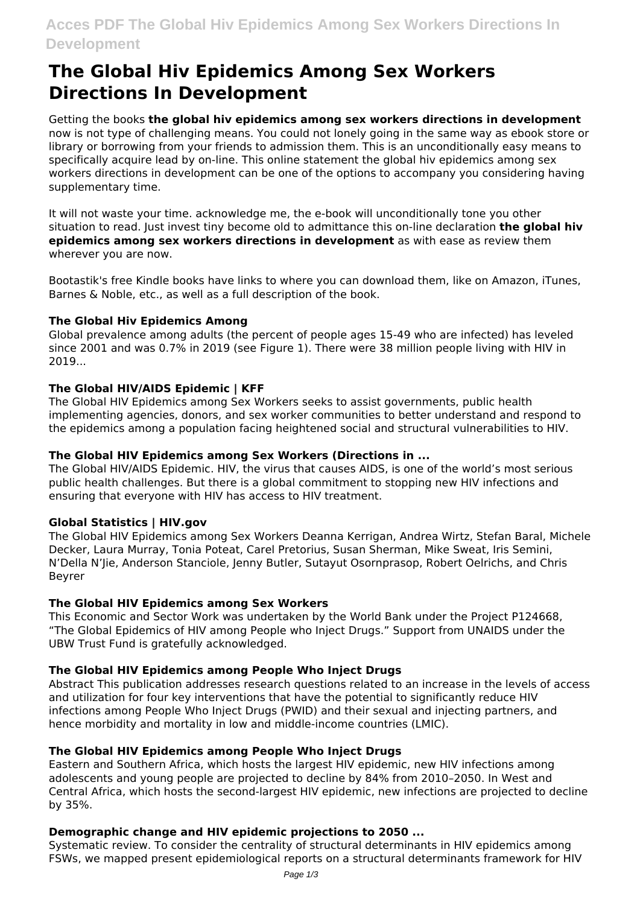# **Acces PDF The Global Hiv Epidemics Among Sex Workers Directions In Development**

# **The Global Hiv Epidemics Among Sex Workers Directions In Development**

Getting the books **the global hiv epidemics among sex workers directions in development** now is not type of challenging means. You could not lonely going in the same way as ebook store or library or borrowing from your friends to admission them. This is an unconditionally easy means to specifically acquire lead by on-line. This online statement the global hiv epidemics among sex workers directions in development can be one of the options to accompany you considering having supplementary time.

It will not waste your time. acknowledge me, the e-book will unconditionally tone you other situation to read. Just invest tiny become old to admittance this on-line declaration **the global hiv epidemics among sex workers directions in development** as with ease as review them wherever you are now.

Bootastik's free Kindle books have links to where you can download them, like on Amazon, iTunes, Barnes & Noble, etc., as well as a full description of the book.

#### **The Global Hiv Epidemics Among**

Global prevalence among adults (the percent of people ages 15-49 who are infected) has leveled since 2001 and was 0.7% in 2019 (see Figure 1). There were 38 million people living with HIV in 2019...

## **The Global HIV/AIDS Epidemic | KFF**

The Global HIV Epidemics among Sex Workers seeks to assist governments, public health implementing agencies, donors, and sex worker communities to better understand and respond to the epidemics among a population facing heightened social and structural vulnerabilities to HIV.

#### **The Global HIV Epidemics among Sex Workers (Directions in ...**

The Global HIV/AIDS Epidemic. HIV, the virus that causes AIDS, is one of the world's most serious public health challenges. But there is a global commitment to stopping new HIV infections and ensuring that everyone with HIV has access to HIV treatment.

#### **Global Statistics | HIV.gov**

The Global HIV Epidemics among Sex Workers Deanna Kerrigan, Andrea Wirtz, Stefan Baral, Michele Decker, Laura Murray, Tonia Poteat, Carel Pretorius, Susan Sherman, Mike Sweat, Iris Semini, N'Della N'Jie, Anderson Stanciole, Jenny Butler, Sutayut Osornprasop, Robert Oelrichs, and Chris Beyrer

#### **The Global HIV Epidemics among Sex Workers**

This Economic and Sector Work was undertaken by the World Bank under the Project P124668, "The Global Epidemics of HIV among People who Inject Drugs." Support from UNAIDS under the UBW Trust Fund is gratefully acknowledged.

#### **The Global HIV Epidemics among People Who Inject Drugs**

Abstract This publication addresses research questions related to an increase in the levels of access and utilization for four key interventions that have the potential to significantly reduce HIV infections among People Who Inject Drugs (PWID) and their sexual and injecting partners, and hence morbidity and mortality in low and middle-income countries (LMIC).

# **The Global HIV Epidemics among People Who Inject Drugs**

Eastern and Southern Africa, which hosts the largest HIV epidemic, new HIV infections among adolescents and young people are projected to decline by 84% from 2010–2050. In West and Central Africa, which hosts the second-largest HIV epidemic, new infections are projected to decline by 35%.

# **Demographic change and HIV epidemic projections to 2050 ...**

Systematic review. To consider the centrality of structural determinants in HIV epidemics among FSWs, we mapped present epidemiological reports on a structural determinants framework for HIV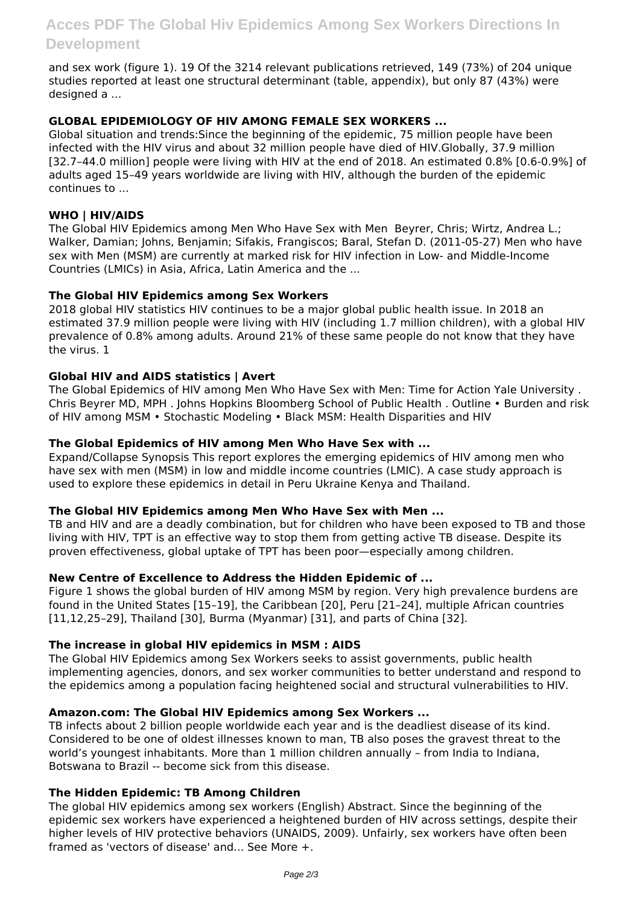and sex work (figure 1). 19 Of the 3214 relevant publications retrieved, 149 (73%) of 204 unique studies reported at least one structural determinant (table, appendix), but only 87 (43%) were designed a ...

## **GLOBAL EPIDEMIOLOGY OF HIV AMONG FEMALE SEX WORKERS ...**

Global situation and trends:Since the beginning of the epidemic, 75 million people have been infected with the HIV virus and about 32 million people have died of HIV.Globally, 37.9 million [32.7–44.0 million] people were living with HIV at the end of 2018. An estimated 0.8% [0.6-0.9%] of adults aged 15–49 years worldwide are living with HIV, although the burden of the epidemic continues to ...

#### **WHO | HIV/AIDS**

The Global HIV Epidemics among Men Who Have Sex with Men Beyrer, Chris; Wirtz, Andrea L.; Walker, Damian; Johns, Benjamin; Sifakis, Frangiscos; Baral, Stefan D. (2011-05-27) Men who have sex with Men (MSM) are currently at marked risk for HIV infection in Low- and Middle-Income Countries (LMICs) in Asia, Africa, Latin America and the ...

#### **The Global HIV Epidemics among Sex Workers**

2018 global HIV statistics HIV continues to be a major global public health issue. In 2018 an estimated 37.9 million people were living with HIV (including 1.7 million children), with a global HIV prevalence of 0.8% among adults. Around 21% of these same people do not know that they have the virus. 1

#### **Global HIV and AIDS statistics | Avert**

The Global Epidemics of HIV among Men Who Have Sex with Men: Time for Action Yale University . Chris Beyrer MD, MPH . Johns Hopkins Bloomberg School of Public Health . Outline • Burden and risk of HIV among MSM • Stochastic Modeling • Black MSM: Health Disparities and HIV

#### **The Global Epidemics of HIV among Men Who Have Sex with ...**

Expand/Collapse Synopsis This report explores the emerging epidemics of HIV among men who have sex with men (MSM) in low and middle income countries (LMIC). A case study approach is used to explore these epidemics in detail in Peru Ukraine Kenya and Thailand.

#### **The Global HIV Epidemics among Men Who Have Sex with Men ...**

TB and HIV and are a deadly combination, but for children who have been exposed to TB and those living with HIV, TPT is an effective way to stop them from getting active TB disease. Despite its proven effectiveness, global uptake of TPT has been poor—especially among children.

#### **New Centre of Excellence to Address the Hidden Epidemic of ...**

Figure 1 shows the global burden of HIV among MSM by region. Very high prevalence burdens are found in the United States [15–19], the Caribbean [20], Peru [21–24], multiple African countries [11,12,25–29], Thailand [30], Burma (Myanmar) [31], and parts of China [32].

#### **The increase in global HIV epidemics in MSM : AIDS**

The Global HIV Epidemics among Sex Workers seeks to assist governments, public health implementing agencies, donors, and sex worker communities to better understand and respond to the epidemics among a population facing heightened social and structural vulnerabilities to HIV.

#### **Amazon.com: The Global HIV Epidemics among Sex Workers ...**

TB infects about 2 billion people worldwide each year and is the deadliest disease of its kind. Considered to be one of oldest illnesses known to man, TB also poses the gravest threat to the world's youngest inhabitants. More than 1 million children annually – from India to Indiana, Botswana to Brazil -- become sick from this disease.

#### **The Hidden Epidemic: TB Among Children**

The global HIV epidemics among sex workers (English) Abstract. Since the beginning of the epidemic sex workers have experienced a heightened burden of HIV across settings, despite their higher levels of HIV protective behaviors (UNAIDS, 2009). Unfairly, sex workers have often been framed as 'vectors of disease' and... See More +.